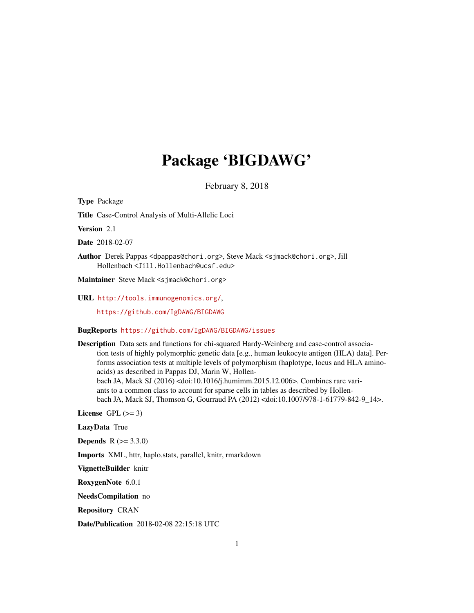# Package 'BIGDAWG'

February 8, 2018

Type Package Title Case-Control Analysis of Multi-Allelic Loci Version 2.1 Date 2018-02-07 Author Derek Pappas <dpappas@chori.org>, Steve Mack <sjmack@chori.org>, Jill Hollenbach <Jill.Hollenbach@ucsf.edu> Maintainer Steve Mack <sjmack@chori.org> URL <http://tools.immunogenomics.org/>, <https://github.com/IgDAWG/BIGDAWG>

#### BugReports <https://github.com/IgDAWG/BIGDAWG/issues>

Description Data sets and functions for chi-squared Hardy-Weinberg and case-control association tests of highly polymorphic genetic data [e.g., human leukocyte antigen (HLA) data]. Performs association tests at multiple levels of polymorphism (haplotype, locus and HLA aminoacids) as described in Pappas DJ, Marin W, Hollenbach JA, Mack SJ (2016) <doi:10.1016/j.humimm.2015.12.006>. Combines rare variants to a common class to account for sparse cells in tables as described by Hollenbach JA, Mack SJ, Thomson G, Gourraud PA (2012) <doi:10.1007/978-1-61779-842-9\_14>.

License GPL  $(>= 3)$ 

LazyData True

**Depends**  $R (= 3.3.0)$ 

Imports XML, httr, haplo.stats, parallel, knitr, rmarkdown

VignetteBuilder knitr

RoxygenNote 6.0.1

NeedsCompilation no

Repository CRAN

Date/Publication 2018-02-08 22:15:18 UTC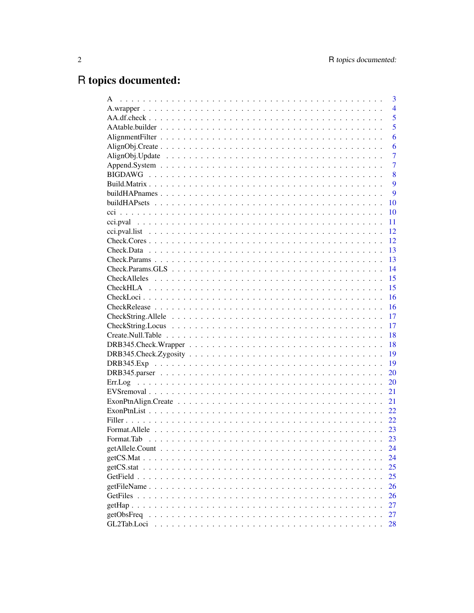# R topics documented:

| A                                     | 3              |
|---------------------------------------|----------------|
|                                       | $\overline{4}$ |
|                                       | 5              |
|                                       | 5              |
|                                       | 6              |
|                                       | 6              |
|                                       | $\overline{7}$ |
|                                       | $\overline{7}$ |
|                                       | 8              |
|                                       | 9              |
|                                       | 9              |
|                                       | 10             |
|                                       | 10             |
|                                       | 11             |
|                                       | 12             |
|                                       | 12             |
|                                       | 13             |
|                                       | 13             |
|                                       | 14             |
|                                       | 15             |
|                                       | 15             |
|                                       | 16             |
|                                       | 16             |
| $CheckString. Allele                $ | 17             |
|                                       | 17             |
|                                       | 18             |
|                                       | 18             |
|                                       | 19             |
|                                       | 19             |
|                                       | 20             |
|                                       | 20             |
|                                       | 21             |
|                                       | 21             |
|                                       | 22             |
|                                       | 22             |
|                                       | 23             |
|                                       | 23             |
|                                       | 24             |
|                                       | 24             |
|                                       | 25             |
|                                       | 25             |
|                                       | 26             |
|                                       | 26             |
|                                       | 27             |
| getObsFreq                            | 27             |
| GL2Tab.Loci                           | 28             |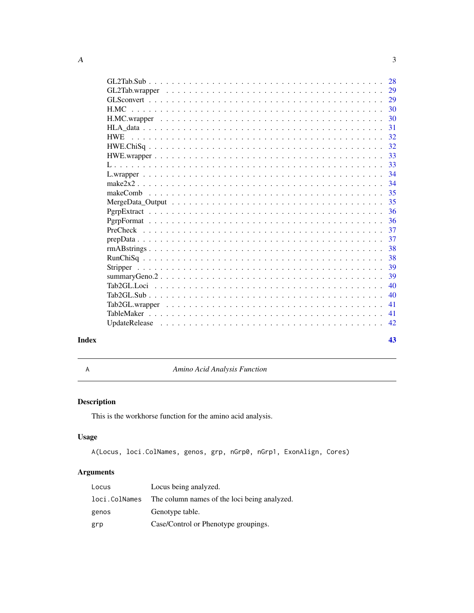<span id="page-2-0"></span>

|                                                                                                                        | 29 |
|------------------------------------------------------------------------------------------------------------------------|----|
|                                                                                                                        | 29 |
|                                                                                                                        | 30 |
|                                                                                                                        | 30 |
|                                                                                                                        | 31 |
| <b>HWE</b>                                                                                                             | 32 |
|                                                                                                                        | 32 |
|                                                                                                                        | 33 |
|                                                                                                                        |    |
|                                                                                                                        | 34 |
|                                                                                                                        | 34 |
|                                                                                                                        | 35 |
|                                                                                                                        | 35 |
|                                                                                                                        | 36 |
|                                                                                                                        | 36 |
| $PreCheck \dots \dots \dots \dots \dots \dots \dots \dots \dots \dots \dots \dots \dots \dots \dots \dots \dots \dots$ | 37 |
|                                                                                                                        | 37 |
|                                                                                                                        | 38 |
|                                                                                                                        | 38 |
|                                                                                                                        | 39 |
|                                                                                                                        | 39 |
|                                                                                                                        | 40 |
|                                                                                                                        | 40 |
|                                                                                                                        | 41 |
|                                                                                                                        | 41 |
|                                                                                                                        | 42 |
|                                                                                                                        |    |

#### **Index** [43](#page-42-0)

A *Amino Acid Analysis Function*

# Description

This is the workhorse function for the amino acid analysis.

# Usage

A(Locus, loci.ColNames, genos, grp, nGrp0, nGrp1, ExonAlign, Cores)

# Arguments

| Locus         | Locus being analyzed.                        |
|---------------|----------------------------------------------|
| loci.ColNames | The column names of the loci being analyzed. |
| genos         | Genotype table.                              |
| grp           | Case/Control or Phenotype groupings.         |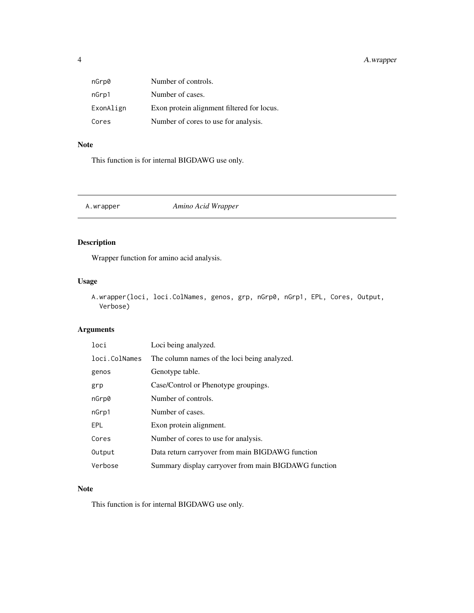# <span id="page-3-0"></span>4 A.wrapper

| nGrp0     | Number of controls.                        |
|-----------|--------------------------------------------|
| nGrp1     | Number of cases.                           |
| ExonAlign | Exon protein alignment filtered for locus. |
| Cores     | Number of cores to use for analysis.       |

# Note

This function is for internal BIGDAWG use only.

A.wrapper *Amino Acid Wrapper*

# Description

Wrapper function for amino acid analysis.

# Usage

```
A.wrapper(loci, loci.ColNames, genos, grp, nGrp0, nGrp1, EPL, Cores, Output,
 Verbose)
```
#### Arguments

| loci          | Loci being analyzed.                                 |
|---------------|------------------------------------------------------|
| loci.ColNames | The column names of the loci being analyzed.         |
| genos         | Genotype table.                                      |
| grp           | Case/Control or Phenotype groupings.                 |
| nGrp0         | Number of controls.                                  |
| nGrp1         | Number of cases.                                     |
| EPL           | Exon protein alignment.                              |
| Cores         | Number of cores to use for analysis.                 |
| Output        | Data return carryover from main BIGDAWG function     |
| Verbose       | Summary display carryover from main BIGDAWG function |

#### Note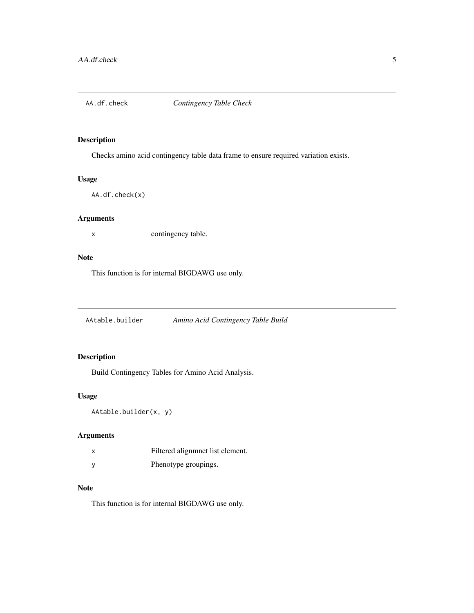<span id="page-4-0"></span>

Checks amino acid contingency table data frame to ensure required variation exists.

#### Usage

```
AA.df.check(x)
```
#### Arguments

x contingency table.

#### Note

This function is for internal BIGDAWG use only.

AAtable.builder *Amino Acid Contingency Table Build*

# Description

Build Contingency Tables for Amino Acid Analysis.

#### Usage

AAtable.builder(x, y)

#### Arguments

|   | Filtered alignment list element. |
|---|----------------------------------|
| у | Phenotype groupings.             |

#### Note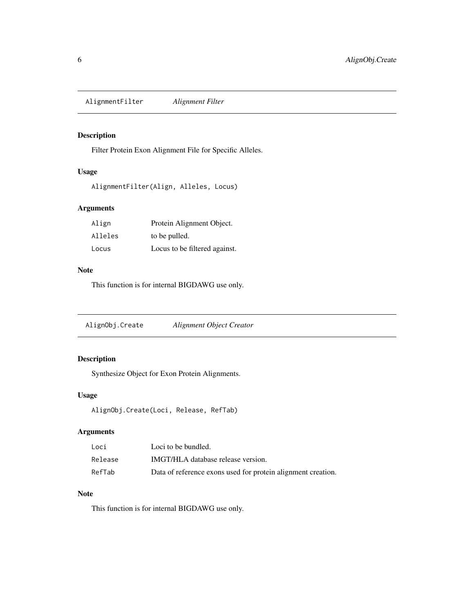<span id="page-5-0"></span>AlignmentFilter *Alignment Filter*

#### Description

Filter Protein Exon Alignment File for Specific Alleles.

#### Usage

```
AlignmentFilter(Align, Alleles, Locus)
```
# Arguments

| Align   | Protein Alignment Object.     |
|---------|-------------------------------|
| Alleles | to be pulled.                 |
| Locus   | Locus to be filtered against. |

#### Note

This function is for internal BIGDAWG use only.

AlignObj.Create *Alignment Object Creator*

# Description

Synthesize Object for Exon Protein Alignments.

# Usage

```
AlignObj.Create(Loci, Release, RefTab)
```
# Arguments

| Loci    | Loci to be bundled.                                          |
|---------|--------------------------------------------------------------|
| Release | IMGT/HLA database release version.                           |
| RefTab  | Data of reference exons used for protein alignment creation. |

# Note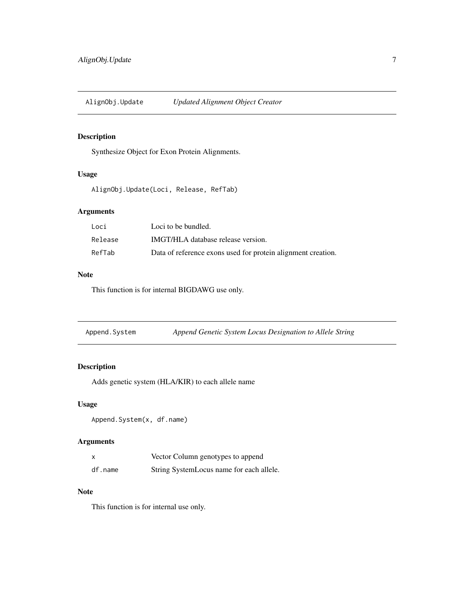<span id="page-6-0"></span>AlignObj.Update *Updated Alignment Object Creator*

#### Description

Synthesize Object for Exon Protein Alignments.

#### Usage

AlignObj.Update(Loci, Release, RefTab)

## Arguments

| Loci    | Loci to be bundled.                                          |
|---------|--------------------------------------------------------------|
| Release | IMGT/HLA database release version.                           |
| RefTab  | Data of reference exons used for protein alignment creation. |

#### Note

This function is for internal BIGDAWG use only.

Append.System *Append Genetic System Locus Designation to Allele String*

# Description

Adds genetic system (HLA/KIR) to each allele name

#### Usage

```
Append.System(x, df.name)
```
#### Arguments

|         | Vector Column genotypes to append        |
|---------|------------------------------------------|
| df.name | String SystemLocus name for each allele. |

#### Note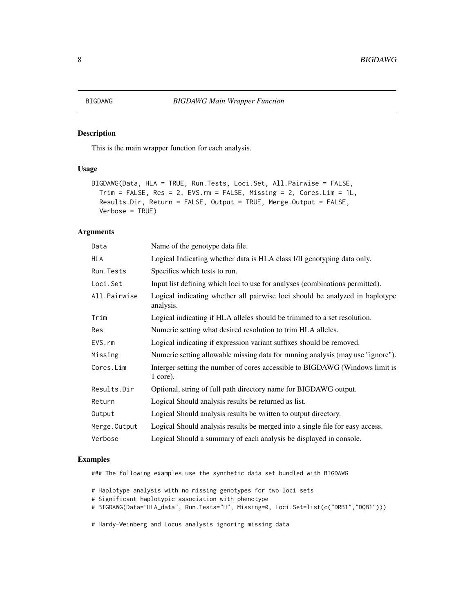<span id="page-7-0"></span>This is the main wrapper function for each analysis.

#### Usage

```
BIGDAWG(Data, HLA = TRUE, Run.Tests, Loci.Set, All.Pairwise = FALSE,
Trim = FALSE, Res = 2, EVS.rm = FALSE, Missing = 2, Cores.Lim = 1L,
Results.Dir, Return = FALSE, Output = TRUE, Merge.Output = FALSE,
Verbose = TRUE)
```
#### Arguments

| Data         | Name of the genotype data file.                                                            |
|--------------|--------------------------------------------------------------------------------------------|
| <b>HLA</b>   | Logical Indicating whether data is HLA class I/II genotyping data only.                    |
| Run.Tests    | Specifics which tests to run.                                                              |
| Loci.Set     | Input list defining which loci to use for analyses (combinations permitted).               |
| All.Pairwise | Logical indicating whether all pairwise loci should be analyzed in haplotype<br>analysis.  |
| Trim         | Logical indicating if HLA alleles should be trimmed to a set resolution.                   |
| Res          | Numeric setting what desired resolution to trim HLA alleles.                               |
| EVS.rm       | Logical indicating if expression variant suffixes should be removed.                       |
| Missing      | Numeric setting allowable missing data for running analysis (may use "ignore").            |
| Cores.Lim    | Interger setting the number of cores accessible to BIGDAWG (Windows limit is<br>$1$ core). |
| Results.Dir  | Optional, string of full path directory name for BIGDAWG output.                           |
| Return       | Logical Should analysis results be returned as list.                                       |
| Output       | Logical Should analysis results be written to output directory.                            |
| Merge.Output | Logical Should analysis results be merged into a single file for easy access.              |
| Verbose      | Logical Should a summary of each analysis be displayed in console.                         |

#### Examples

### The following examples use the synthetic data set bundled with BIGDAWG

# Haplotype analysis with no missing genotypes for two loci sets

- # Significant haplotypic association with phenotype
- # BIGDAWG(Data="HLA\_data", Run.Tests="H", Missing=0, Loci.Set=list(c("DRB1","DQB1")))

# Hardy-Weinberg and Locus analysis ignoring missing data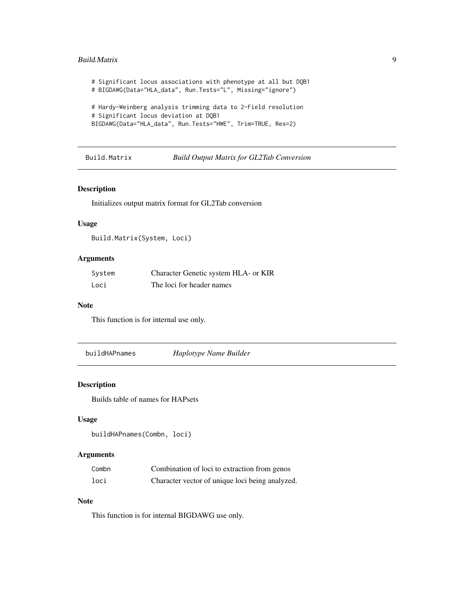#### <span id="page-8-0"></span>Build.Matrix 9

# Significant locus associations with phenotype at all but DQB1 # BIGDAWG(Data="HLA\_data", Run.Tests="L", Missing="ignore") # Hardy-Weinberg analysis trimming data to 2-Field resolution # Significant locus deviation at DQB1 BIGDAWG(Data="HLA\_data", Run.Tests="HWE", Trim=TRUE, Res=2)

Build.Matrix *Build Output Matrix for GL2Tab Conversion*

#### Description

Initializes output matrix format for GL2Tab conversion

#### Usage

```
Build.Matrix(System, Loci)
```
#### Arguments

| System | Character Genetic system HLA- or KIR |
|--------|--------------------------------------|
| Loci   | The loci for header names            |

#### Note

This function is for internal use only.

buildHAPnames *Haplotype Name Builder*

#### Description

Builds table of names for HAPsets

#### Usage

```
buildHAPnames(Combn, loci)
```
#### Arguments

| Combn | Combination of loci to extraction from genos    |
|-------|-------------------------------------------------|
| loci  | Character vector of unique loci being analyzed. |

#### Note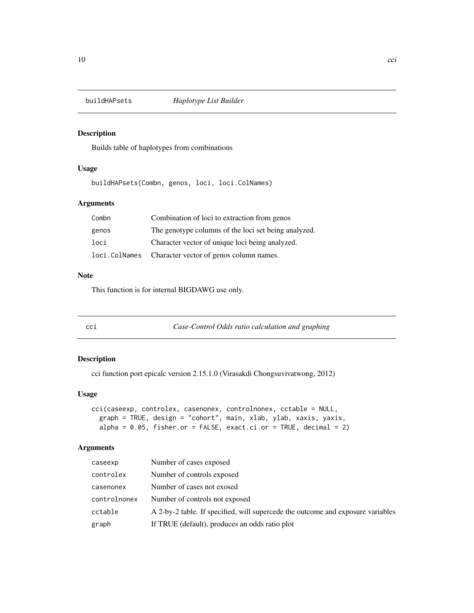<span id="page-9-0"></span>

Builds table of haplotypes from combinations

#### Usage

buildHAPsets(Combn, genos, loci, loci.ColNames)

#### Arguments

| Combn | Combination of loci to extraction from genos           |
|-------|--------------------------------------------------------|
| genos | The genotype columns of the loci set being analyzed.   |
| loci  | Character vector of unique loci being analyzed.        |
|       | loci. ColNames Character vector of genos column names. |

#### Note

This function is for internal BIGDAWG use only.

cci *Case-Control Odds ratio calculation and graphing*

#### Description

cci function port epicalc version 2.15.1.0 (Virasakdi Chongsuvivatwong, 2012)

#### Usage

```
cci(caseexp, controlex, casenonex, controlnonex, cctable = NULL,
 graph = TRUE, design = "cohort", main, xlab, ylab, xaxis, yaxis,
alpha = 0.05, fisher.or = FALSE, exact.ci.or = TRUE, decimal = 2)
```
#### Arguments

| caseexp      | Number of cases exposed                                                         |
|--------------|---------------------------------------------------------------------------------|
| controlex    | Number of controls exposed                                                      |
| casenonex    | Number of cases not exosed                                                      |
| controlnonex | Number of controls not exposed                                                  |
| cctable      | A 2-by-2 table. If specified, will supercede the outcome and exposure variables |
| graph        | If TRUE (default), produces an odds ratio plot                                  |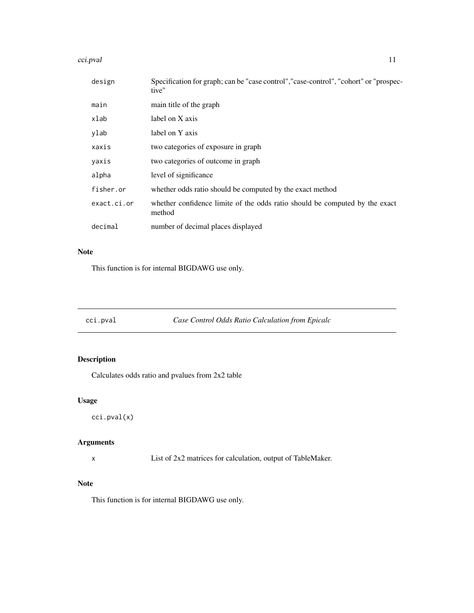#### <span id="page-10-0"></span>cci.pval 11

| design      | Specification for graph; can be "case control", "case-control", "cohort" or "prospec-<br>tive" |
|-------------|------------------------------------------------------------------------------------------------|
| main        | main title of the graph                                                                        |
| xlab        | label on X axis                                                                                |
| ylab        | label on Y axis                                                                                |
| xaxis       | two categories of exposure in graph                                                            |
| yaxis       | two categories of outcome in graph                                                             |
| alpha       | level of significance                                                                          |
| fisher.or   | whether odds ratio should be computed by the exact method                                      |
| exact.ci.or | whether confidence limite of the odds ratio should be computed by the exact<br>method          |
| decimal     | number of decimal places displayed                                                             |

# Note

This function is for internal BIGDAWG use only.

cci.pval *Case Control Odds Ratio Calculation from Epicalc*

# Description

Calculates odds ratio and pvalues from 2x2 table

#### Usage

cci.pval(x)

#### Arguments

x List of 2x2 matrices for calculation, output of TableMaker.

#### Note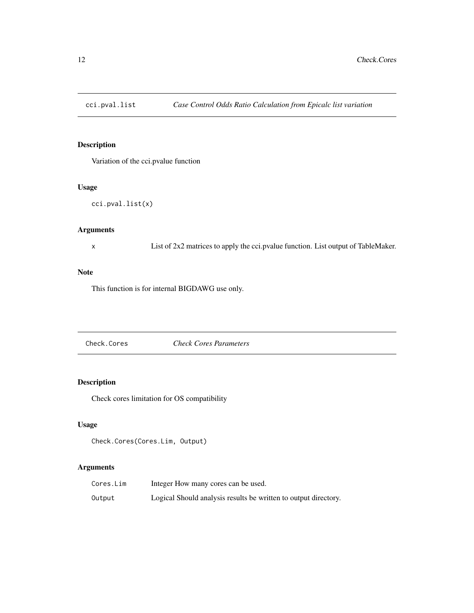<span id="page-11-0"></span>

Variation of the cci.pvalue function

# Usage

```
cci.pval.list(x)
```
# Arguments

x List of 2x2 matrices to apply the cci.pvalue function. List output of TableMaker.

#### Note

This function is for internal BIGDAWG use only.

Check.Cores *Check Cores Parameters*

#### Description

Check cores limitation for OS compatibility

#### Usage

```
Check.Cores(Cores.Lim, Output)
```
#### Arguments

| Cores.Lim | Integer How many cores can be used.                             |
|-----------|-----------------------------------------------------------------|
| Output    | Logical Should analysis results be written to output directory. |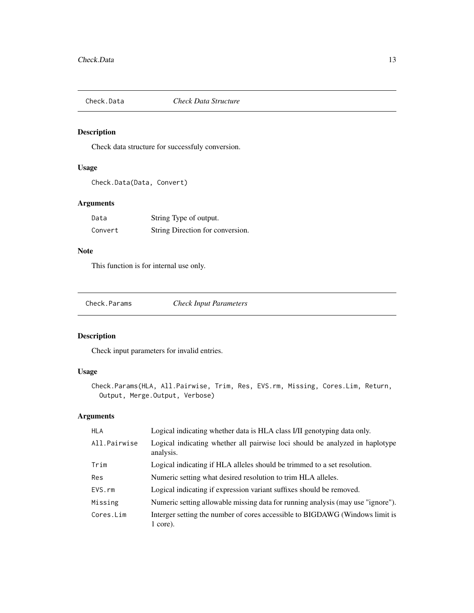<span id="page-12-0"></span>

Check data structure for successfuly conversion.

#### Usage

```
Check.Data(Data, Convert)
```
#### Arguments

| Data    | String Type of output.           |
|---------|----------------------------------|
| Convert | String Direction for conversion. |

# Note

This function is for internal use only.

Check.Params *Check Input Parameters*

#### Description

Check input parameters for invalid entries.

#### Usage

```
Check.Params(HLA, All.Pairwise, Trim, Res, EVS.rm, Missing, Cores.Lim, Return,
Output, Merge.Output, Verbose)
```
#### Arguments

| <b>HLA</b>   | Logical indicating whether data is HLA class I/II genotyping data only.                    |
|--------------|--------------------------------------------------------------------------------------------|
| All.Pairwise | Logical indicating whether all pairwise loci should be analyzed in haplotype<br>analysis.  |
| Trim         | Logical indicating if HLA alleles should be trimmed to a set resolution.                   |
| Res          | Numeric setting what desired resolution to trim HLA alleles.                               |
| EVS.rm       | Logical indicating if expression variant suffixes should be removed.                       |
| Missing      | Numeric setting allowable missing data for running analysis (may use "ignore").            |
| Cores.Lim    | Interger setting the number of cores accessible to BIGDAWG (Windows limit is<br>$1$ core). |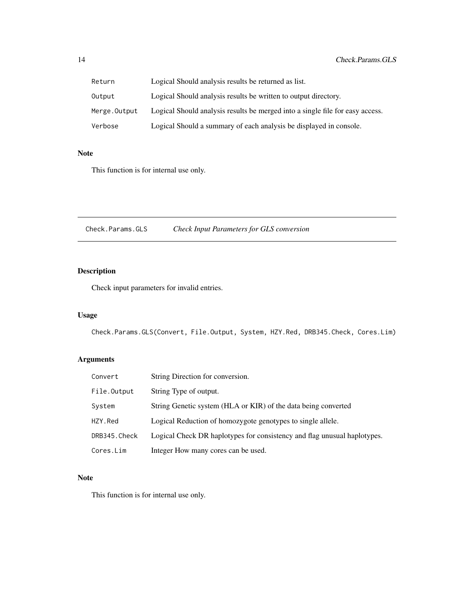<span id="page-13-0"></span>

| Return       | Logical Should analysis results be returned as list.                          |
|--------------|-------------------------------------------------------------------------------|
| Output       | Logical Should analysis results be written to output directory.               |
| Merge.Output | Logical Should analysis results be merged into a single file for easy access. |
| Verbose      | Logical Should a summary of each analysis be displayed in console.            |

#### Note

This function is for internal use only.

Check.Params.GLS *Check Input Parameters for GLS conversion*

# Description

Check input parameters for invalid entries.

# Usage

Check.Params.GLS(Convert, File.Output, System, HZY.Red, DRB345.Check, Cores.Lim)

# Arguments

| Convert      | String Direction for conversion.                                         |
|--------------|--------------------------------------------------------------------------|
| File.Output  | String Type of output.                                                   |
| System       | String Genetic system (HLA or KIR) of the data being converted           |
| HZY.Red      | Logical Reduction of homozygote genotypes to single allele.              |
| DRB345.Check | Logical Check DR haplotypes for consistency and flag unusual haplotypes. |
| Cores.Lim    | Integer How many cores can be used.                                      |

#### Note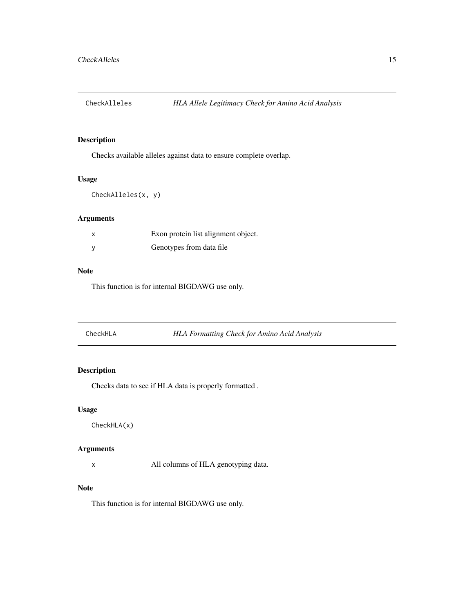<span id="page-14-0"></span>

Checks available alleles against data to ensure complete overlap.

#### Usage

```
CheckAlleles(x, y)
```
#### Arguments

| Exon protein list alignment object. |
|-------------------------------------|
| Genotypes from data file.           |

#### Note

This function is for internal BIGDAWG use only.

| CheckHLA | <b>HLA Formatting Check for Amino Acid Analysis</b> |  |
|----------|-----------------------------------------------------|--|
|----------|-----------------------------------------------------|--|

# Description

Checks data to see if HLA data is properly formatted .

#### Usage

CheckHLA(x)

#### Arguments

x All columns of HLA genotyping data.

# Note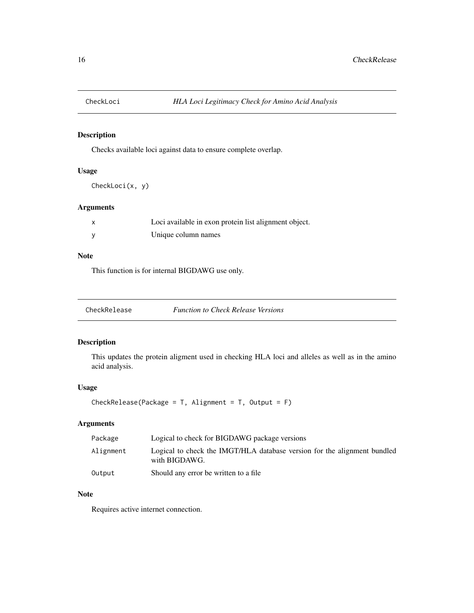<span id="page-15-0"></span>

Checks available loci against data to ensure complete overlap.

#### Usage

CheckLoci(x, y)

#### Arguments

| Loci available in exon protein list alignment object. |
|-------------------------------------------------------|
| Unique column names                                   |

#### Note

This function is for internal BIGDAWG use only.

| CheckRelease | <b>Function to Check Release Versions</b> |  |
|--------------|-------------------------------------------|--|
|--------------|-------------------------------------------|--|

#### Description

This updates the protein aligment used in checking HLA loci and alleles as well as in the amino acid analysis.

#### Usage

CheckRelease(Package =  $T$ , Alignment =  $T$ , Output =  $F$ )

# Arguments

| Package   | Logical to check for BIGDAWG package versions                                             |
|-----------|-------------------------------------------------------------------------------------------|
| Alignment | Logical to check the IMGT/HLA database version for the alignment bundled<br>with BIGDAWG. |
| Output    | Should any error be written to a file                                                     |

#### Note

Requires active internet connection.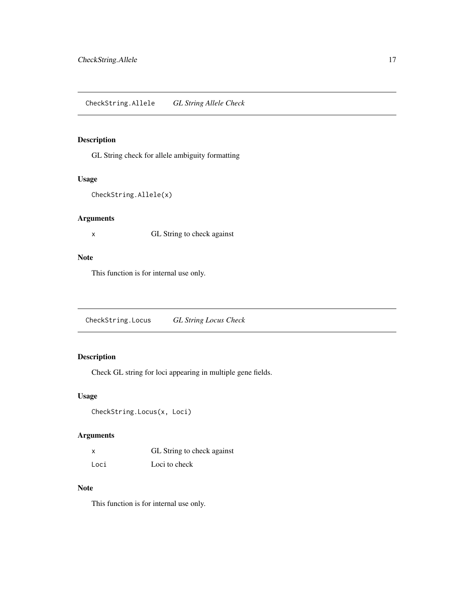<span id="page-16-0"></span>GL String check for allele ambiguity formatting

#### Usage

```
CheckString.Allele(x)
```
#### Arguments

x GL String to check against

#### Note

This function is for internal use only.

CheckString.Locus *GL String Locus Check*

#### Description

Check GL string for loci appearing in multiple gene fields.

#### Usage

CheckString.Locus(x, Loci)

#### Arguments

|      | GL String to check against |
|------|----------------------------|
| Loci | Loci to check              |

#### Note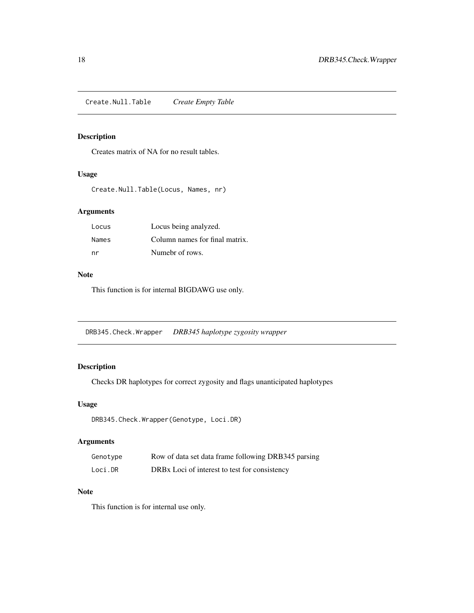<span id="page-17-0"></span>Create.Null.Table *Create Empty Table*

# Description

Creates matrix of NA for no result tables.

#### Usage

Create.Null.Table(Locus, Names, nr)

#### Arguments

| Locus | Locus being analyzed.          |
|-------|--------------------------------|
| Names | Column names for final matrix. |
| nr    | Numebr of rows.                |

#### Note

This function is for internal BIGDAWG use only.

DRB345.Check.Wrapper *DRB345 haplotype zygosity wrapper*

# Description

Checks DR haplotypes for correct zygosity and flags unanticipated haplotypes

#### Usage

DRB345.Check.Wrapper(Genotype, Loci.DR)

#### Arguments

| Genotype | Row of data set data frame following DRB345 parsing       |
|----------|-----------------------------------------------------------|
| Loci.DR  | DRB <sub>x</sub> Loci of interest to test for consistency |

#### Note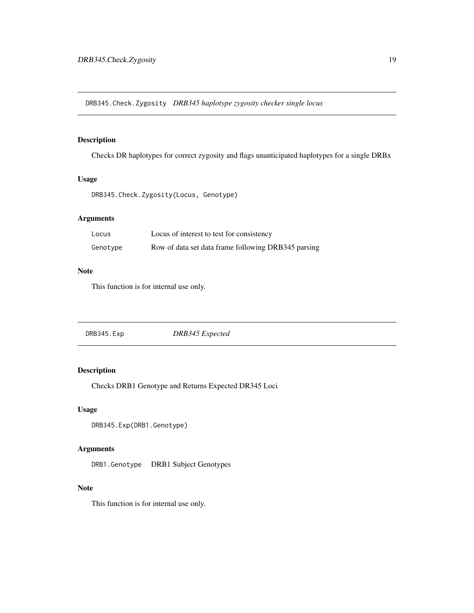<span id="page-18-0"></span>DRB345.Check.Zygosity *DRB345 haplotype zygosity checker single locus*

#### Description

Checks DR haplotypes for correct zygosity and flags unanticipated haplotypes for a single DRBx

#### Usage

DRB345.Check.Zygosity(Locus, Genotype)

# Arguments

| Locus    | Locus of interest to test for consistency           |
|----------|-----------------------------------------------------|
| Genotype | Row of data set data frame following DRB345 parsing |

#### Note

This function is for internal use only.

| DRB345.Exp | DRB345 Expected |  |
|------------|-----------------|--|
|            |                 |  |

# Description

Checks DRB1 Genotype and Returns Expected DR345 Loci

#### Usage

```
DRB345.Exp(DRB1.Genotype)
```
#### Arguments

DRB1.Genotype DRB1 Subject Genotypes

#### Note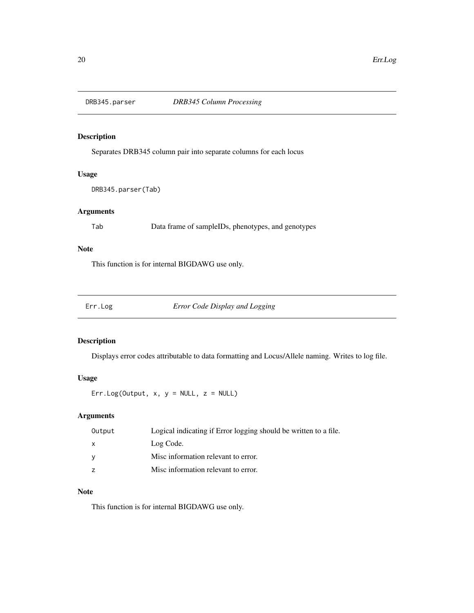<span id="page-19-0"></span>

Separates DRB345 column pair into separate columns for each locus

#### Usage

```
DRB345.parser(Tab)
```
#### Arguments

Tab Data frame of sampleIDs, phenotypes, and genotypes

# Note

This function is for internal BIGDAWG use only.

Err.Log *Error Code Display and Logging*

#### Description

Displays error codes attributable to data formatting and Locus/Allele naming. Writes to log file.

# Usage

Err.Log(Output,  $x, y = NULL$ ,  $z = NULL$ )

# Arguments

| Output         | Logical indicating if Error logging should be written to a file. |
|----------------|------------------------------------------------------------------|
| $\mathsf{x}$   | Log Code.                                                        |
| <b>V</b>       | Misc information relevant to error.                              |
| $\overline{z}$ | Misc information relevant to error.                              |

#### Note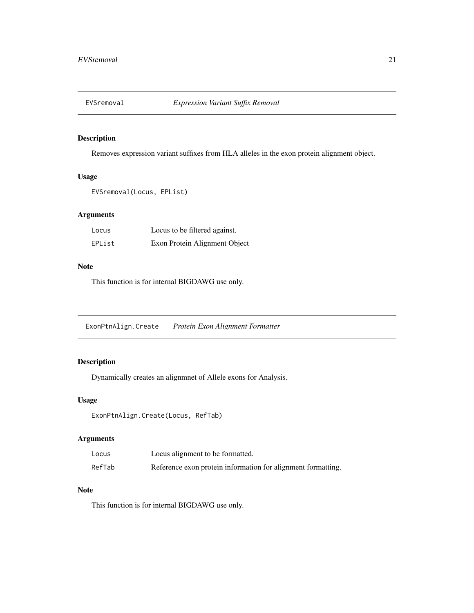<span id="page-20-0"></span>

Removes expression variant suffixes from HLA alleles in the exon protein alignment object.

#### Usage

```
EVSremoval(Locus, EPList)
```
#### Arguments

| Locus  | Locus to be filtered against. |
|--------|-------------------------------|
| EPList | Exon Protein Alignment Object |

#### Note

This function is for internal BIGDAWG use only.

ExonPtnAlign.Create *Protein Exon Alignment Formatter*

#### Description

Dynamically creates an alignmnet of Allele exons for Analysis.

#### Usage

ExonPtnAlign.Create(Locus, RefTab)

#### Arguments

| Locus  | Locus alignment to be formatted.                             |
|--------|--------------------------------------------------------------|
| RefTab | Reference exon protein information for alignment formatting. |

## Note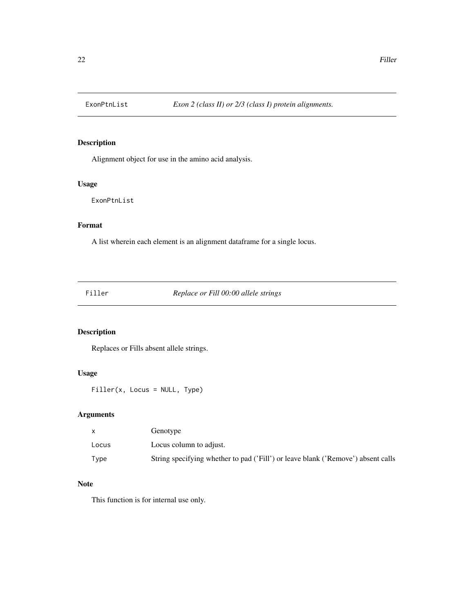<span id="page-21-0"></span>

Alignment object for use in the amino acid analysis.

#### Usage

ExonPtnList

# Format

A list wherein each element is an alignment dataframe for a single locus.

Filler *Replace or Fill 00:00 allele strings*

# Description

Replaces or Fills absent allele strings.

# Usage

Filler(x, Locus = NULL, Type)

#### Arguments

|       | Genotype                                                                         |
|-------|----------------------------------------------------------------------------------|
| Locus | Locus column to adjust.                                                          |
| Type  | String specifying whether to pad ('Fill') or leave blank ('Remove') absent calls |

#### Note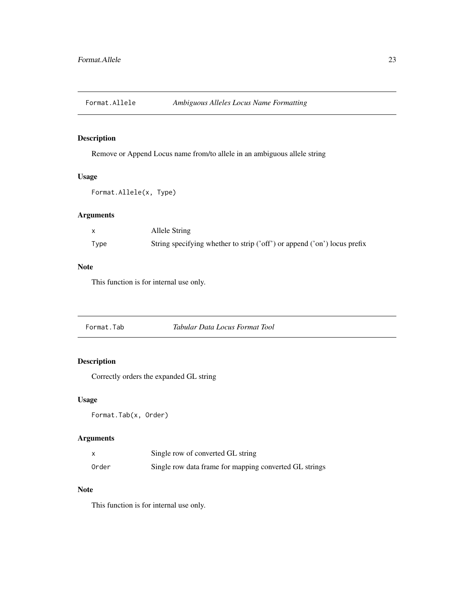<span id="page-22-0"></span>

Remove or Append Locus name from/to allele in an ambiguous allele string

#### Usage

Format.Allele(x, Type)

#### Arguments

|      | Allele String                                                            |
|------|--------------------------------------------------------------------------|
| Type | String specifying whether to strip ('off') or append ('on') locus prefix |

#### Note

This function is for internal use only.

Format.Tab *Tabular Data Locus Format Tool*

# Description

Correctly orders the expanded GL string

#### Usage

Format.Tab(x, Order)

#### Arguments

|       | Single row of converted GL string                      |
|-------|--------------------------------------------------------|
| Order | Single row data frame for mapping converted GL strings |

# Note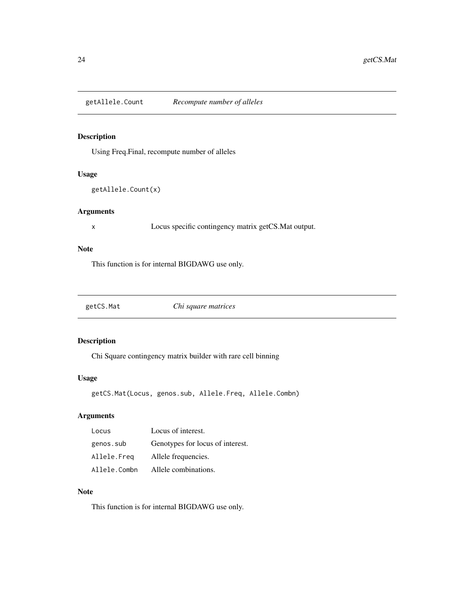<span id="page-23-0"></span>getAllele.Count *Recompute number of alleles*

#### Description

Using Freq.Final, recompute number of alleles

#### Usage

```
getAllele.Count(x)
```
#### Arguments

x Locus specific contingency matrix getCS.Mat output.

# Note

This function is for internal BIGDAWG use only.

getCS.Mat *Chi square matrices*

#### Description

Chi Square contingency matrix builder with rare cell binning

#### Usage

getCS.Mat(Locus, genos.sub, Allele.Freq, Allele.Combn)

# Arguments

| Locus        | Locus of interest.               |
|--------------|----------------------------------|
| genos.sub    | Genotypes for locus of interest. |
| Allele.Freg  | Allele frequencies.              |
| Allele.Combn | Allele combinations.             |

#### Note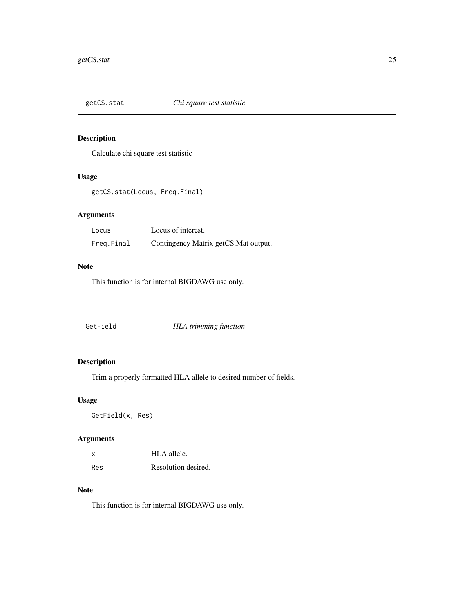<span id="page-24-0"></span>

Calculate chi square test statistic

#### Usage

getCS.stat(Locus, Freq.Final)

#### Arguments

| Locus      | Locus of interest.                    |
|------------|---------------------------------------|
| Freg.Final | Contingency Matrix getCS. Mat output. |

#### Note

This function is for internal BIGDAWG use only.

| <b>HLA</b> trimming function<br>GetField |  |
|------------------------------------------|--|
|------------------------------------------|--|

# Description

Trim a properly formatted HLA allele to desired number of fields.

#### Usage

GetField(x, Res)

#### Arguments

| x   | HLA allele.         |
|-----|---------------------|
| Res | Resolution desired. |

# Note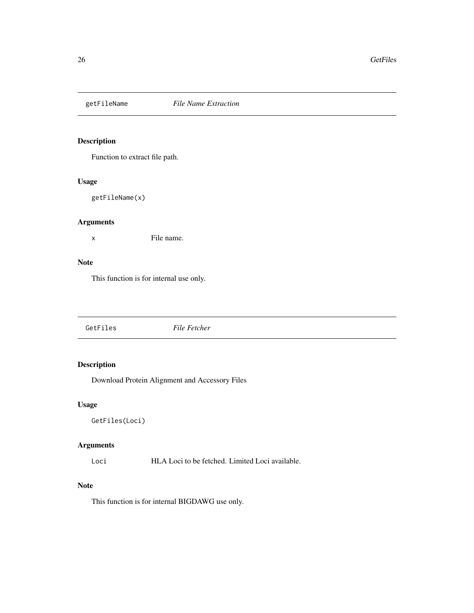<span id="page-25-0"></span>

Function to extract file path.

#### Usage

getFileName(x)

#### Arguments

x File name.

#### Note

This function is for internal use only.

GetFiles *File Fetcher*

### Description

Download Protein Alignment and Accessory Files

#### Usage

GetFiles(Loci)

#### Arguments

Loci HLA Loci to be fetched. Limited Loci available.

# Note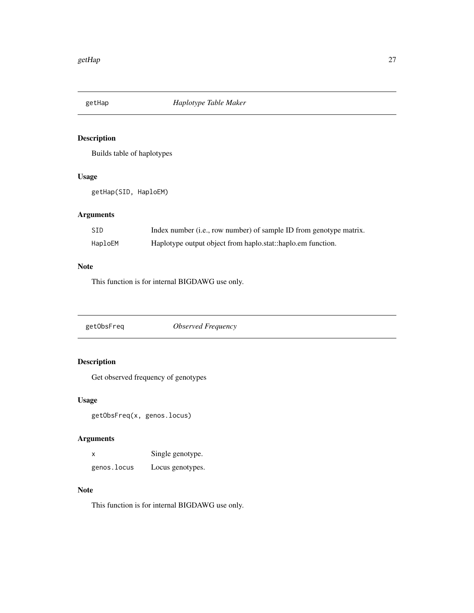<span id="page-26-0"></span>

Builds table of haplotypes

#### Usage

getHap(SID, HaploEM)

#### Arguments

| SID     | Index number (i.e., row number) of sample ID from genotype matrix. |
|---------|--------------------------------------------------------------------|
| HaploEM | Haplotype output object from haplo.stat::haplo.em function.        |

#### Note

This function is for internal BIGDAWG use only.

getObsFreq *Observed Frequency*

# Description

Get observed frequency of genotypes

# Usage

getObsFreq(x, genos.locus)

#### Arguments

| x           | Single genotype. |
|-------------|------------------|
| genos.locus | Locus genotypes. |

# Note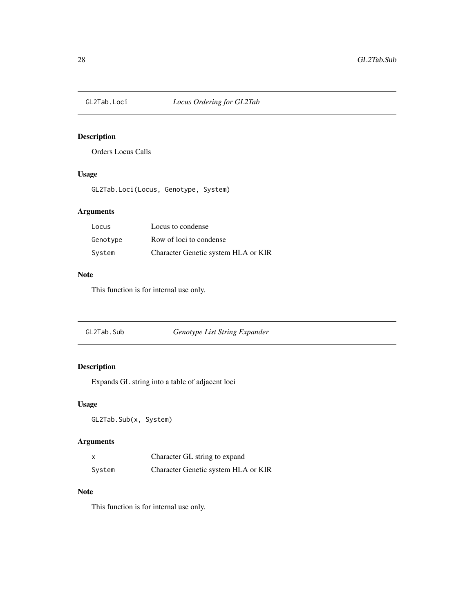<span id="page-27-0"></span>

Orders Locus Calls

#### Usage

GL2Tab.Loci(Locus, Genotype, System)

#### Arguments

| Locus    | Locus to condense                   |
|----------|-------------------------------------|
| Genotype | Row of loci to condense             |
| System   | Character Genetic system HLA or KIR |

# Note

This function is for internal use only.

| GL2Tab.Sub | Genotype List String Expander |
|------------|-------------------------------|
|            |                               |

# Description

Expands GL string into a table of adjacent loci

#### Usage

GL2Tab.Sub(x, System)

#### Arguments

|        | Character GL string to expand       |
|--------|-------------------------------------|
| System | Character Genetic system HLA or KIR |

#### Note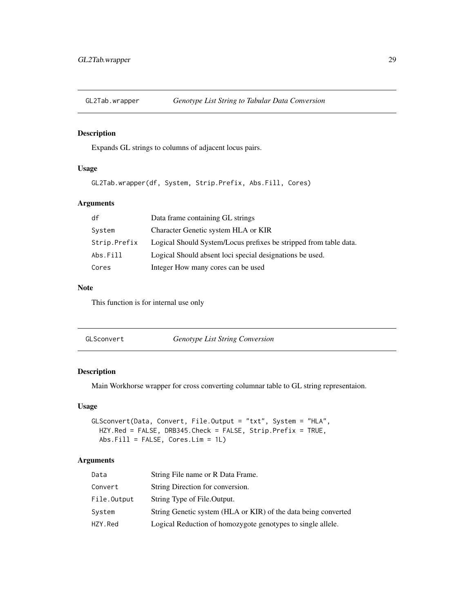<span id="page-28-0"></span>

Expands GL strings to columns of adjacent locus pairs.

#### Usage

```
GL2Tab.wrapper(df, System, Strip.Prefix, Abs.Fill, Cores)
```
#### Arguments

| df           | Data frame containing GL strings                                  |
|--------------|-------------------------------------------------------------------|
| System       | Character Genetic system HLA or KIR                               |
| Strip.Prefix | Logical Should System/Locus prefixes be stripped from table data. |
| Abs.Fill     | Logical Should absent loci special designations be used.          |
| Cores        | Integer How many cores can be used                                |

#### Note

This function is for internal use only

| GLSconvert | <i>Genotype List String Conversion</i> |
|------------|----------------------------------------|
|------------|----------------------------------------|

#### Description

Main Workhorse wrapper for cross converting columnar table to GL string representaion.

#### Usage

```
GLSconvert(Data, Convert, File.Output = "txt", System = "HLA",
HZY.Red = FALSE, DRB345.Check = FALSE, Strip.Prefix = TRUE,
Abs.Fill = FALSE, Cores.Lim = 1L)
```
### Arguments

| Data        | String File name or R Data Frame.                              |
|-------------|----------------------------------------------------------------|
| Convert     | String Direction for conversion.                               |
| File.Output | String Type of File. Output.                                   |
| System      | String Genetic system (HLA or KIR) of the data being converted |
| HZY.Red     | Logical Reduction of homozygote genotypes to single allele.    |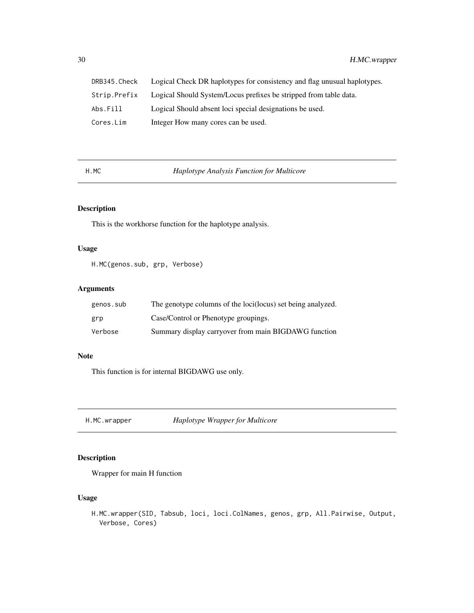<span id="page-29-0"></span>

| DRB345.Check | Logical Check DR haplotypes for consistency and flag unusual haplotypes. |
|--------------|--------------------------------------------------------------------------|
| Strip.Prefix | Logical Should System/Locus prefixes be stripped from table data.        |
| Abs.Fill     | Logical Should absent loci special designations be used.                 |
| Cores.Lim    | Integer How many cores can be used.                                      |

H.MC *Haplotype Analysis Function for Multicore*

#### Description

This is the workhorse function for the haplotype analysis.

# Usage

H.MC(genos.sub, grp, Verbose)

#### Arguments

| genos.sub | The genotype columns of the loci(locus) set being analyzed. |
|-----------|-------------------------------------------------------------|
| grp       | Case/Control or Phenotype groupings.                        |
| Verbose   | Summary display carryover from main BIGDAWG function        |

#### Note

This function is for internal BIGDAWG use only.

H.MC.wrapper *Haplotype Wrapper for Multicore*

#### Description

Wrapper for main H function

# Usage

H.MC.wrapper(SID, Tabsub, loci, loci.ColNames, genos, grp, All.Pairwise, Output, Verbose, Cores)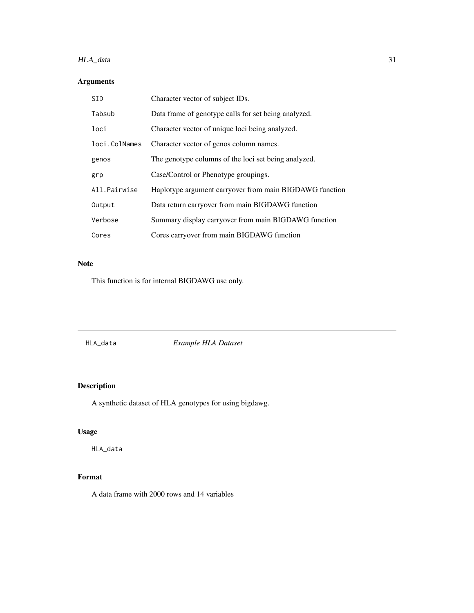# <span id="page-30-0"></span>HLA\_data 31

# Arguments

| <b>SID</b>    | Character vector of subject IDs.                        |
|---------------|---------------------------------------------------------|
| Tabsub        | Data frame of genotype calls for set being analyzed.    |
| loci          | Character vector of unique loci being analyzed.         |
| loci.ColNames | Character vector of genos column names.                 |
| genos         | The genotype columns of the loci set being analyzed.    |
| grp           | Case/Control or Phenotype groupings.                    |
| All.Pairwise  | Haplotype argument carryover from main BIGDAWG function |
| Output        | Data return carryover from main BIGDAWG function        |
| Verbose       | Summary display carryover from main BIGDAWG function    |
| Cores         | Cores carryover from main BIGDAWG function              |

#### Note

This function is for internal BIGDAWG use only.

HLA\_data *Example HLA Dataset*

# Description

A synthetic dataset of HLA genotypes for using bigdawg.

# Usage

HLA\_data

# Format

A data frame with 2000 rows and 14 variables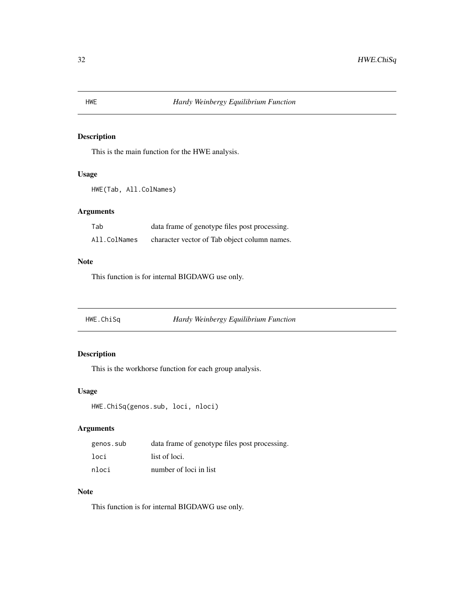This is the main function for the HWE analysis.

#### Usage

```
HWE(Tab, All.ColNames)
```
## Arguments

| Tab          | data frame of genotype files post processing. |
|--------------|-----------------------------------------------|
| All.ColNames | character vector of Tab object column names.  |

#### Note

This function is for internal BIGDAWG use only.

HWE.ChiSq *Hardy Weinbergy Equilibrium Function*

# Description

This is the workhorse function for each group analysis.

#### Usage

```
HWE.ChiSq(genos.sub, loci, nloci)
```
# Arguments

| genos.sub | data frame of genotype files post processing. |
|-----------|-----------------------------------------------|
| loci      | list of loci.                                 |
| nloci     | number of loci in list                        |

#### Note

<span id="page-31-0"></span>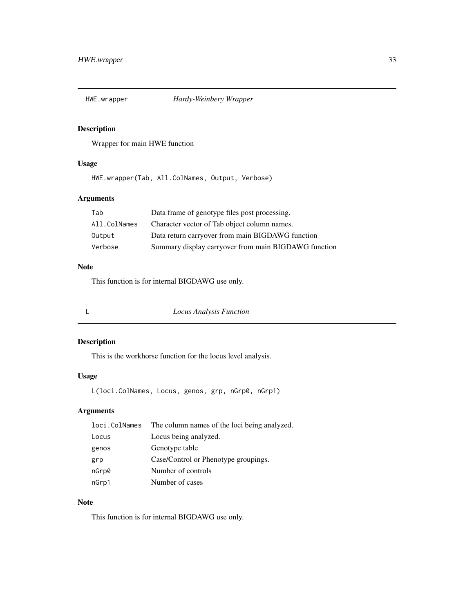<span id="page-32-0"></span>

Wrapper for main HWE function

#### Usage

HWE.wrapper(Tab, All.ColNames, Output, Verbose)

#### Arguments

| Tab          | Data frame of genotype files post processing.        |
|--------------|------------------------------------------------------|
| All.ColNames | Character vector of Tab object column names.         |
| Output       | Data return carryover from main BIGDAWG function     |
| Verbose      | Summary display carryover from main BIGDAWG function |

# Note

This function is for internal BIGDAWG use only.

L *Locus Analysis Function*

#### Description

This is the workhorse function for the locus level analysis.

#### Usage

L(loci.ColNames, Locus, genos, grp, nGrp0, nGrp1)

#### Arguments

|       | loci. ColNames The column names of the loci being analyzed. |
|-------|-------------------------------------------------------------|
| Locus | Locus being analyzed.                                       |
| genos | Genotype table                                              |
| grp   | Case/Control or Phenotype groupings.                        |
| nGrp0 | Number of controls                                          |
| nGrp1 | Number of cases                                             |

#### Note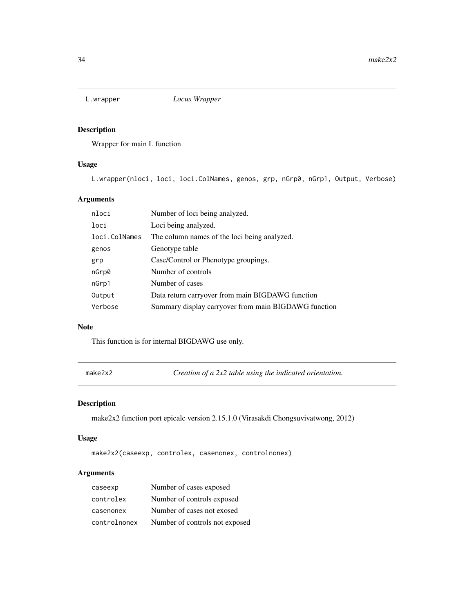<span id="page-33-0"></span>

Wrapper for main L function

#### Usage

L.wrapper(nloci, loci, loci.ColNames, genos, grp, nGrp0, nGrp1, Output, Verbose)

#### Arguments

| nloci         | Number of loci being analyzed.                       |
|---------------|------------------------------------------------------|
| loci          | Loci being analyzed.                                 |
| loci.ColNames | The column names of the loci being analyzed.         |
| genos         | Genotype table                                       |
| grp           | Case/Control or Phenotype groupings.                 |
| nGrp0         | Number of controls                                   |
| nGrp1         | Number of cases                                      |
| Output        | Data return carryover from main BIGDAWG function     |
| Verbose       | Summary display carryover from main BIGDAWG function |
|               |                                                      |

#### Note

This function is for internal BIGDAWG use only.

make2x2 *Creation of a 2x2 table using the indicated orientation.*

#### Description

make2x2 function port epicalc version 2.15.1.0 (Virasakdi Chongsuvivatwong, 2012)

#### Usage

```
make2x2(caseexp, controlex, casenonex, controlnonex)
```
# Arguments

| caseexp      | Number of cases exposed        |
|--------------|--------------------------------|
| controlex    | Number of controls exposed     |
| casenonex    | Number of cases not exosed     |
| controlnonex | Number of controls not exposed |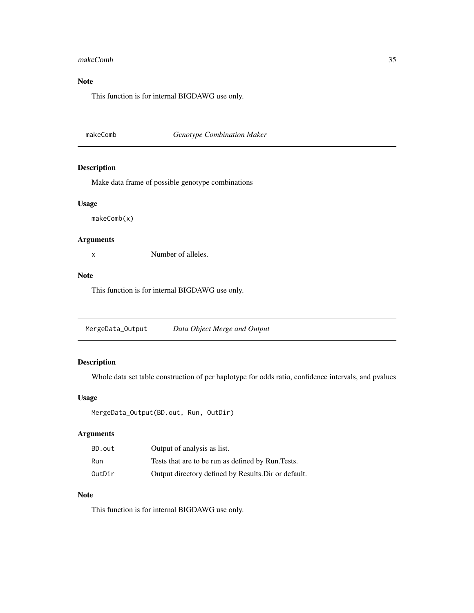#### <span id="page-34-0"></span>makeComb 35

# Note

This function is for internal BIGDAWG use only.

#### makeComb *Genotype Combination Maker*

#### Description

Make data frame of possible genotype combinations

#### Usage

makeComb(x)

#### Arguments

x Number of alleles.

#### Note

This function is for internal BIGDAWG use only.

MergeData\_Output *Data Object Merge and Output*

# Description

Whole data set table construction of per haplotype for odds ratio, confidence intervals, and pvalues

#### Usage

```
MergeData_Output(BD.out, Run, OutDir)
```
# Arguments

| BD.out | Output of analysis as list.                          |
|--------|------------------------------------------------------|
| Run    | Tests that are to be run as defined by Run. Tests.   |
| OutDir | Output directory defined by Results. Dir or default. |

#### Note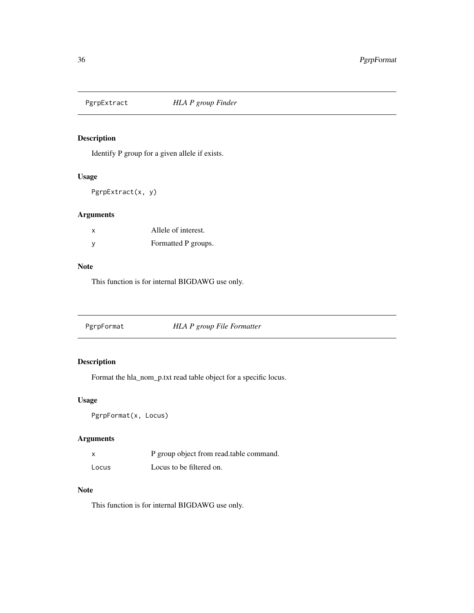<span id="page-35-0"></span>

Identify P group for a given allele if exists.

#### Usage

PgrpExtract(x, y)

#### Arguments

| $\times$ | Allele of interest. |
|----------|---------------------|
| У        | Formatted P groups. |

#### Note

This function is for internal BIGDAWG use only.

PgrpFormat *HLA P group File Formatter*

# Description

Format the hla\_nom\_p.txt read table object for a specific locus.

# Usage

PgrpFormat(x, Locus)

#### Arguments

| X     | P group object from read.table command. |
|-------|-----------------------------------------|
| Locus | Locus to be filtered on.                |

## Note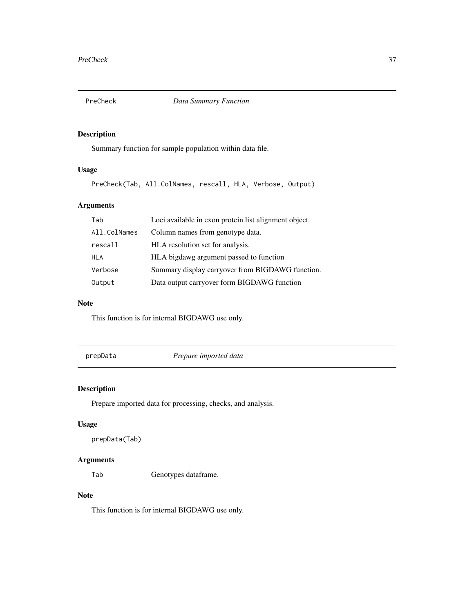<span id="page-36-0"></span>

Summary function for sample population within data file.

# Usage

PreCheck(Tab, All.ColNames, rescall, HLA, Verbose, Output)

# Arguments

| Tab          | Loci available in exon protein list alignment object. |
|--------------|-------------------------------------------------------|
| All.ColNames | Column names from genotype data.                      |
| rescall      | HLA resolution set for analysis.                      |
| <b>HLA</b>   | HLA bigdawg argument passed to function               |
| Verbose      | Summary display carryover from BIGDAWG function.      |
| Output       | Data output carryover form BIGDAWG function           |

#### Note

This function is for internal BIGDAWG use only.

prepData *Prepare imported data*

#### Description

Prepare imported data for processing, checks, and analysis.

#### Usage

prepData(Tab)

# Arguments

Tab Genotypes dataframe.

#### Note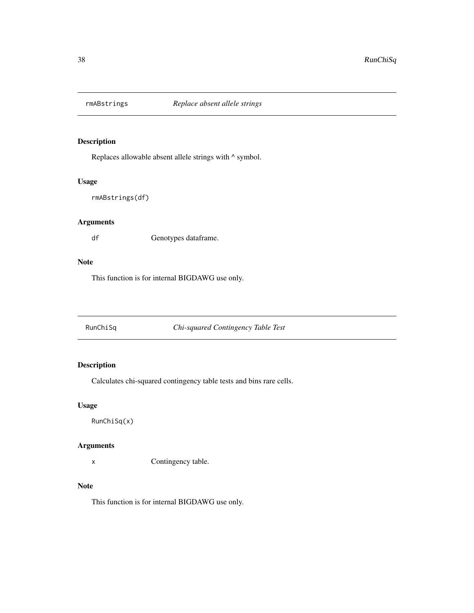<span id="page-37-0"></span>

Replaces allowable absent allele strings with  $\wedge$  symbol.

#### Usage

```
rmABstrings(df)
```
# Arguments

df Genotypes dataframe.

#### Note

This function is for internal BIGDAWG use only.

RunChiSq *Chi-squared Contingency Table Test*

# Description

Calculates chi-squared contingency table tests and bins rare cells.

#### Usage

RunChiSq(x)

#### Arguments

x Contingency table.

#### Note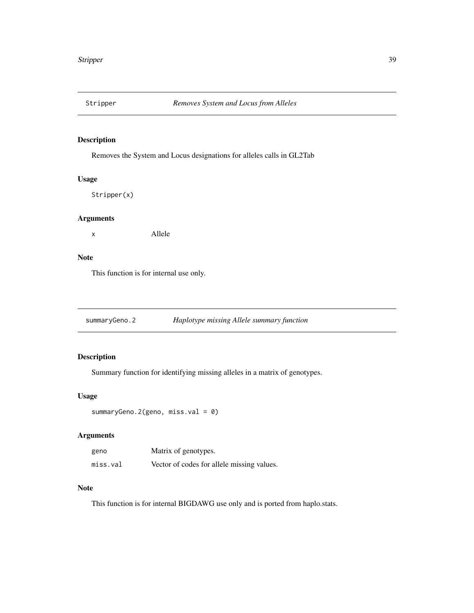<span id="page-38-0"></span>

Removes the System and Locus designations for alleles calls in GL2Tab

#### Usage

Stripper(x)

#### Arguments

x Allele

#### Note

This function is for internal use only.

summaryGeno.2 *Haplotype missing Allele summary function*

#### Description

Summary function for identifying missing alleles in a matrix of genotypes.

#### Usage

```
summaryGeno.2(geno, miss.val = 0)
```
#### Arguments

| geno     | Matrix of genotypes.                       |
|----------|--------------------------------------------|
| miss.val | Vector of codes for allele missing values. |

#### Note

This function is for internal BIGDAWG use only and is ported from haplo.stats.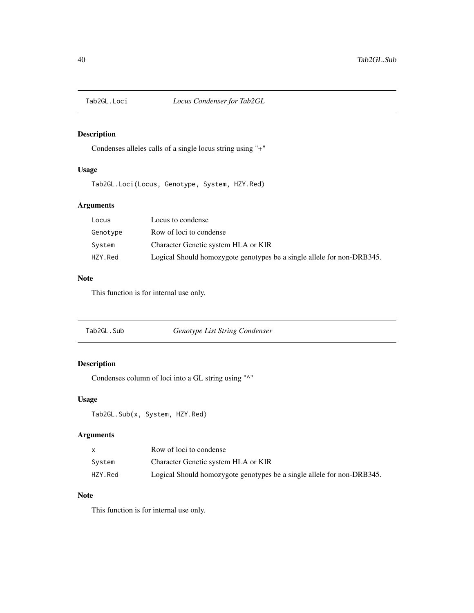<span id="page-39-0"></span>

Condenses alleles calls of a single locus string using "+"

#### Usage

Tab2GL.Loci(Locus, Genotype, System, HZY.Red)

# Arguments

| Locus    | Locus to condense                                                      |
|----------|------------------------------------------------------------------------|
| Genotype | Row of loci to condense                                                |
| System   | Character Genetic system HLA or KIR                                    |
| HZY.Red  | Logical Should homozygote genotypes be a single allele for non-DRB345. |

#### Note

This function is for internal use only.

| Tab2GL.Sub | Genotype List String Condenser |
|------------|--------------------------------|
|------------|--------------------------------|

# Description

Condenses column of loci into a GL string using "^"

#### Usage

Tab2GL.Sub(x, System, HZY.Red)

# Arguments

|         | Row of loci to condense                                                |
|---------|------------------------------------------------------------------------|
| Svstem  | Character Genetic system HLA or KIR                                    |
| HZY.Red | Logical Should homozygote genotypes be a single allele for non-DRB345. |

# Note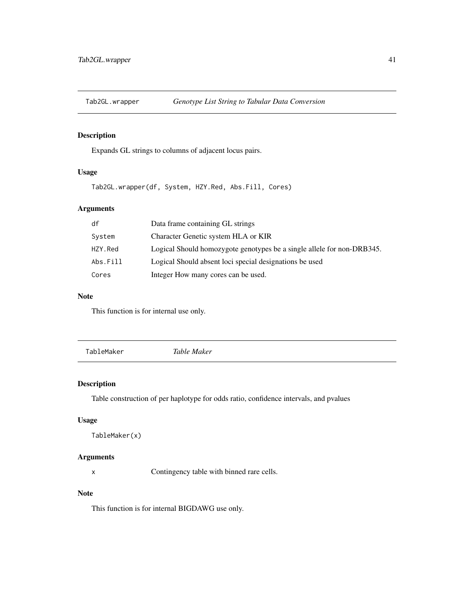<span id="page-40-0"></span>

Expands GL strings to columns of adjacent locus pairs.

#### Usage

Tab2GL.wrapper(df, System, HZY.Red, Abs.Fill, Cores)

# Arguments

| df       | Data frame containing GL strings                                       |
|----------|------------------------------------------------------------------------|
| System   | Character Genetic system HLA or KIR                                    |
| HZY.Red  | Logical Should homozygote genotypes be a single allele for non-DRB345. |
| Abs.Fill | Logical Should absent loci special designations be used                |
| Cores    | Integer How many cores can be used.                                    |

#### Note

This function is for internal use only.

|  | TableMaker | Table Maker |  |
|--|------------|-------------|--|
|--|------------|-------------|--|

#### Description

Table construction of per haplotype for odds ratio, confidence intervals, and pvalues

#### Usage

TableMaker(x)

#### Arguments

x Contingency table with binned rare cells.

# Note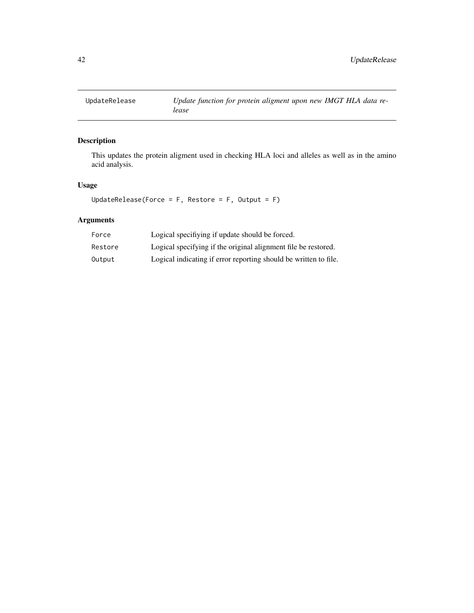<span id="page-41-0"></span>

This updates the protein aligment used in checking HLA loci and alleles as well as in the amino acid analysis.

# Usage

UpdateRelease(Force =  $F$ , Restore =  $F$ , Output =  $F$ )

# Arguments

| Force   | Logical specifiying if update should be forced.                  |
|---------|------------------------------------------------------------------|
| Restore | Logical specifying if the original alignment file be restored.   |
| Output  | Logical indicating if error reporting should be written to file. |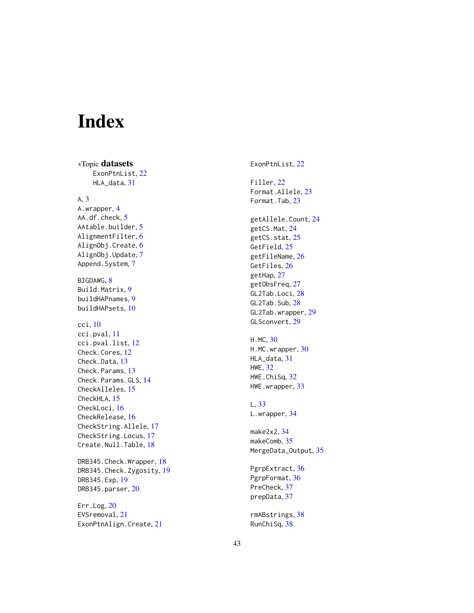# <span id="page-42-0"></span>Index

∗Topic datasets ExonPtnList, [22](#page-21-0) HLA\_data , [31](#page-30-0) A , [3](#page-2-0) A.wrapper, [4](#page-3-0) AA.df.check, [5](#page-4-0) AAtable.builder, <mark>[5](#page-4-0)</mark> AlignmentFilter , [6](#page-5-0) AlignObj.Create, [6](#page-5-0) AlignObj.Update , [7](#page-6-0) Append.System, [7](#page-6-0) BIGDAWG, [8](#page-7-0) Build.Matrix, <mark>[9](#page-8-0)</mark> buildHAPnames , [9](#page-8-0) buildHAPsets , [10](#page-9-0) cci , [10](#page-9-0) cci.pval , [11](#page-10-0) cci.pval.list , [12](#page-11-0) Check.Cores, [12](#page-11-0) Check.Data, [13](#page-12-0) Check.Params, [13](#page-12-0) Check.Params.GLS , [14](#page-13-0) CheckAlleles, [15](#page-14-0) CheckHLA, [15](#page-14-0) CheckLoci, [16](#page-15-0) CheckRelease, [16](#page-15-0) CheckString.Allele , [17](#page-16-0) CheckString.Locus , [17](#page-16-0) Create.Null.Table, [18](#page-17-0) DRB345.Check.Wrapper, [18](#page-17-0) DRB345.Check.Zygosity, [19](#page-18-0) DRB345.Exp , [19](#page-18-0) DRB345.parser, [20](#page-19-0) Err.Log, [20](#page-19-0) EVSremoval , [21](#page-20-0) ExonPtnAlign.Create, [21](#page-20-0)

ExonPtnList, [22](#page-21-0) Filler , [22](#page-21-0) Format.Allele, [23](#page-22-0) Format.Tab, [23](#page-22-0) getAllele.Count , [24](#page-23-0) getCS.Mat, [24](#page-23-0) getCS.stat, [25](#page-24-0) GetField, [25](#page-24-0) getFileName, [26](#page-25-0) GetFiles, [26](#page-25-0) getHap , [27](#page-26-0) getObsFreq , [27](#page-26-0) GL2Tab.Loci , [28](#page-27-0) GL2Tab.Sub, [28](#page-27-0) GL2Tab.wrapper, [29](#page-28-0) GLSconvert, [29](#page-28-0) H.MC , [30](#page-29-0) H.MC.wrapper,  $30$ HLA\_data , [31](#page-30-0) HWE , [32](#page-31-0) HWE.ChiSq, [32](#page-31-0) HWE.wrapper, [33](#page-32-0) L , [33](#page-32-0) L.wrapper, [34](#page-33-0) make2x2 , [34](#page-33-0) makeComb, [35](#page-34-0) MergeData\_Output, [35](#page-34-0) PgrpExtract, [36](#page-35-0) PgrpFormat, [36](#page-35-0) PreCheck , [37](#page-36-0) prepData , [37](#page-36-0) rmABstrings , [38](#page-37-0) RunChiSq , [38](#page-37-0)